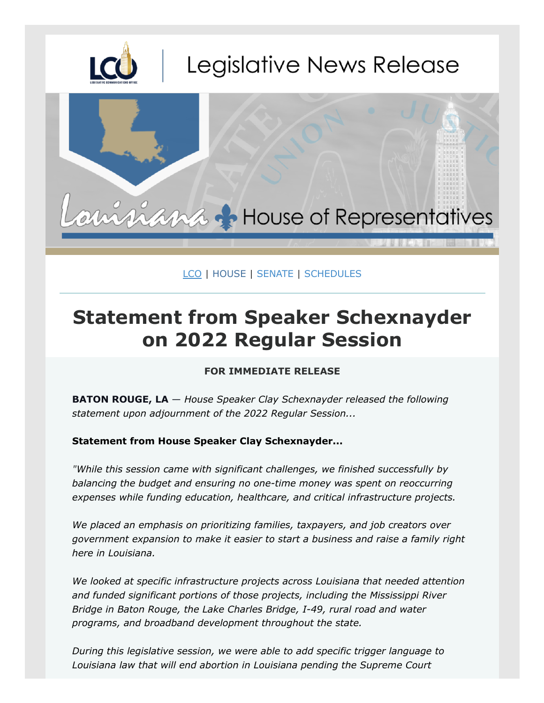

## [LCO](https://lco.legis.la.gov/) | [HOUSE](https://house.louisiana.gov/) | [SENATE](http://senate.la.gov/) | [SCHEDULES](https://house.louisiana.gov/H_Sched/Hse_MeetingSchedule)

## **Statement from Speaker Schexnayder on 2022 Regular Session**

## **FOR IMMEDIATE RELEASE**

**BATON ROUGE, LA** — *House Speaker Clay Schexnayder released the following statement upon adjournment of the 2022 Regular Session...*

## **Statement from House Speaker Clay Schexnayder...**

*"While this session came with significant challenges, we finished successfully by balancing the budget and ensuring no one-time money was spent on reoccurring expenses while funding education, healthcare, and critical infrastructure projects.*

*We placed an emphasis on prioritizing families, taxpayers, and job creators over government expansion to make it easier to start a business and raise a family right here in Louisiana.*

*We looked at specific infrastructure projects across Louisiana that needed attention and funded significant portions of those projects, including the Mississippi River Bridge in Baton Rouge, the Lake Charles Bridge, I-49, rural road and water programs, and broadband development throughout the state.*

*During this legislative session, we were able to add specific trigger language to Louisiana law that will end abortion in Louisiana pending the Supreme Court*